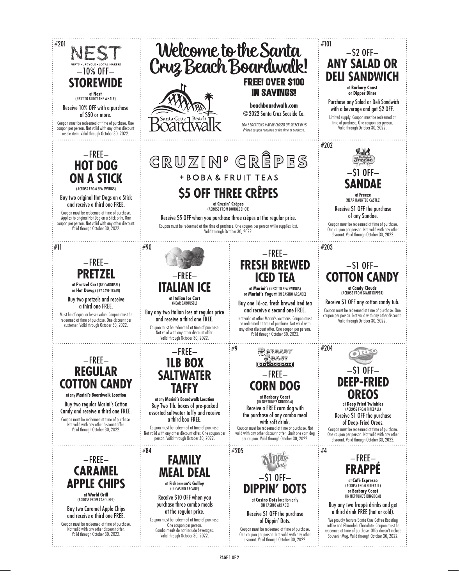